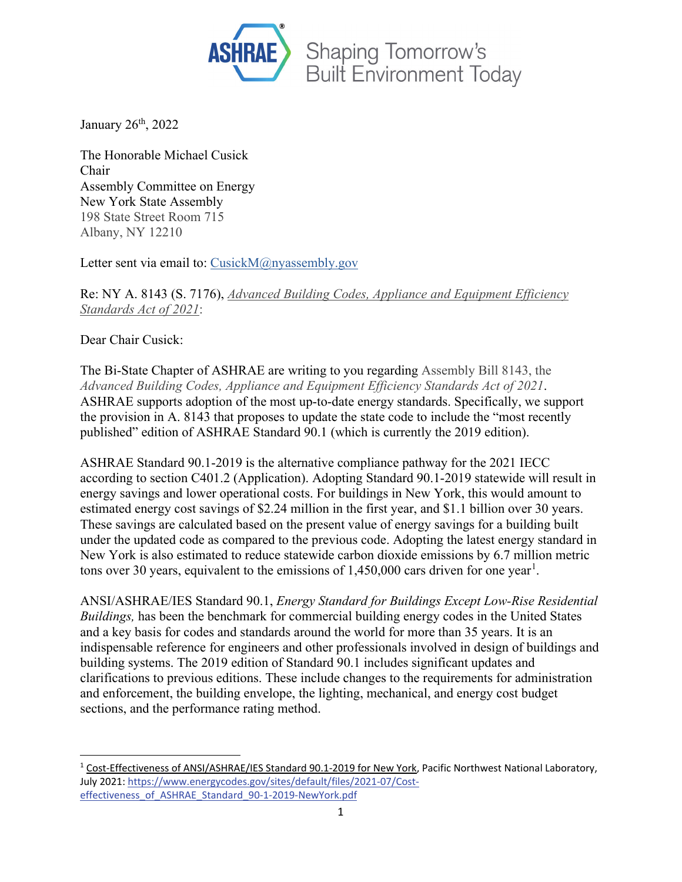

January 26<sup>th</sup>, 2022

The Honorable Michael Cusick Chair Assembly Committee on Energy New York State Assembly 198 State Street Room 715 Albany, NY 12210

Letter sent via email to: [CusickM@nyassembly.gov](mailto:cusickm@nyassembly.gov)

Re: NY A. 8143 (S. 7176), *Advanced Building Codes, Appliance and Equipment Efficiency Standards Act of 2021*:

Dear Chair Cusick:

The Bi-State Chapter of ASHRAE are writing to you regarding Assembly Bill 8143, the *Advanced Building Codes, Appliance and Equipment Efficiency Standards Act of 2021*. ASHRAE supports adoption of the most up-to-date energy standards. Specifically, we support the provision in A. 8143 that proposes to update the state code to include the "most recently published" edition of ASHRAE Standard 90.1 (which is currently the 2019 edition).

ASHRAE Standard 90.1-2019 is the alternative compliance pathway for the 2021 IECC according to section C401.2 (Application). Adopting Standard 90.1-2019 statewide will result in energy savings and lower operational costs. For buildings in New York, this would amount to estimated energy cost savings of \$2.24 million in the first year, and \$1.1 billion over 30 years. These savings are calculated based on the present value of energy savings for a building built under the updated code as compared to the previous code. Adopting the latest energy standard in New York is also estimated to reduce statewide carbon dioxide emissions by 6.7 million metric tons over 30 years, equivalent to the emissions of  $1,450,000$  $1,450,000$  cars driven for one year<sup>1</sup>.

ANSI/ASHRAE/IES Standard 90.1, *Energy Standard for Buildings Except Low-Rise Residential Buildings,* has been the benchmark for commercial building energy codes in the United States and a key basis for codes and standards around the world for more than 35 years. It is an indispensable reference for engineers and other professionals involved in design of buildings and building systems. The 2019 edition of Standard 90.1 includes significant updates and clarifications to previous editions. These include changes to the requirements for administration and enforcement, the building envelope, the lighting, mechanical, and energy cost budget sections, and the performance rating method.

<span id="page-0-0"></span><sup>1</sup> Cost-Effectiveness of ANSI/ASHRAE/IES Standard 90.1-2019 for New York, Pacific Northwest National Laboratory, July 2021[: https://www.energycodes.gov/sites/default/files/2021-07/Cost](https://www.energycodes.gov/sites/default/files/2021-07/Cost-effectiveness_of_ASHRAE_Standard_90-1-2019-NewYork.pdf)[effectiveness\\_of\\_ASHRAE\\_Standard\\_90-1-2019-NewYork.pdf](https://www.energycodes.gov/sites/default/files/2021-07/Cost-effectiveness_of_ASHRAE_Standard_90-1-2019-NewYork.pdf)